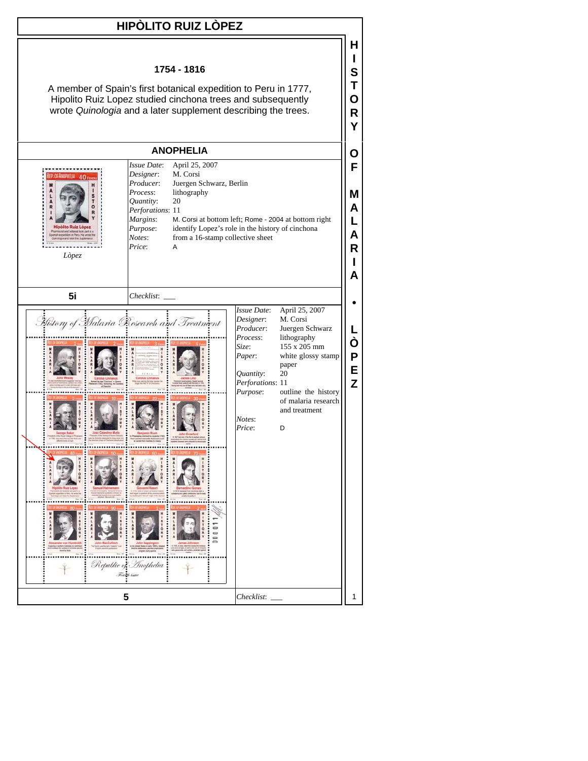